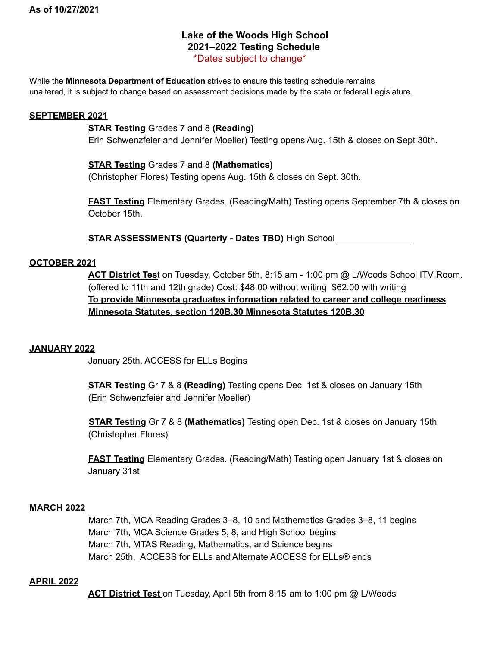# **Lake of the Woods High School 2021–2022 Testing Schedule** \*Dates subject to change\*

While the **Minnesota Department of Education** strives to ensure this testing schedule remains unaltered, it is subject to change based on assessment decisions made by the state or federal Legislature.

## **SEPTEMBER 2021**

## **STAR Testing** Grades 7 and 8 **(Reading)**

Erin Schwenzfeier and Jennifer Moeller) Testing opens Aug. 15th & closes on Sept 30th.

## **STAR Testing** Grades 7 and 8 **(Mathematics)**

(Christopher Flores) Testing opens Aug. 15th & closes on Sept. 30th.

**FAST Testing** Elementary Grades. (Reading/Math) Testing opens September 7th & closes on October 15th.

**STAR ASSESSMENTS (Quarterly - Dates TBD)** High School

### **OCTOBER 2021**

**ACT District Tes**t on Tuesday, October 5th, 8:15 am - 1:00 pm @ L/Woods School ITV Room. (offered to 11th and 12th grade) Cost: \$48.00 without writing \$62.00 with writing **To provide Minnesota graduates information related to career and college readiness Minnesota Statutes, section 120B.30 Minnesota Statutes 120B.30**

#### **JANUARY 2022**

January 25th, ACCESS for ELLs Begins

**STAR Testing** Gr 7 & 8 **(Reading)** Testing opens Dec. 1st & closes on January 15th (Erin Schwenzfeier and Jennifer Moeller)

**STAR Testing** Gr 7 & 8 **(Mathematics)** Testing open Dec. 1st & closes on January 15th (Christopher Flores)

**FAST Testing** Elementary Grades. (Reading/Math) Testing open January 1st & closes on January 31st

## **MARCH 2022**

March 7th, MCA Reading Grades 3–8, 10 and Mathematics Grades 3–8, 11 begins March 7th, MCA Science Grades 5, 8, and High School begins March 7th, MTAS Reading, Mathematics, and Science begins March 25th, ACCESS for ELLs and Alternate ACCESS for ELLs® ends

#### **APRIL 2022**

**ACT District Test** on Tuesday, April 5th from 8:15 am to 1:00 pm @ L/Woods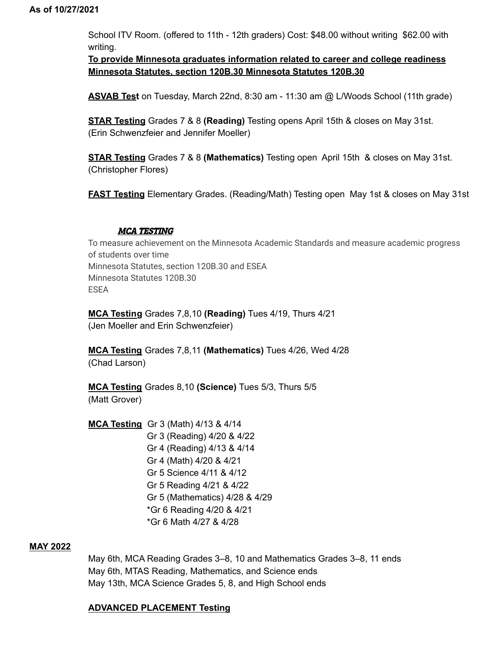School ITV Room. (offered to 11th - 12th graders) Cost: \$48.00 without writing \$62.00 with writing.

**To provide Minnesota graduates information related to career and college readiness Minnesota Statutes, section 120B.30 Minnesota Statutes 120B.30**

**ASVAB Test** on Tuesday, March 22nd, 8:30 am - 11:30 am @ L/Woods School (11th grade)

**STAR Testing** Grades 7 & 8 **(Reading)** Testing opens April 15th & closes on May 31st. (Erin Schwenzfeier and Jennifer Moeller)

**STAR Testing** Grades 7 & 8 **(Mathematics)** Testing open April 15th & closes on May 31st. (Christopher Flores)

**FAST Testing** Elementary Grades. (Reading/Math) Testing open May 1st & closes on May 31st

### MCA TESTING

To measure achievement on the Minnesota Academic Standards and measure academic progress of students over time Minnesota Statutes, section 120B.30 and ESEA Minnesota Statutes 120B.30 ESEA

**MCA Testing** Grades 7,8,10 **(Reading)** Tues 4/19, Thurs 4/21 (Jen Moeller and Erin Schwenzfeier)

**MCA Testing** Grades 7,8,11 **(Mathematics)** Tues 4/26, Wed 4/28 (Chad Larson)

**MCA Testing** Grades 8,10 **(Science)** Tues 5/3, Thurs 5/5 (Matt Grover)

**MCA Testing** Gr 3 (Math) 4/13 & 4/14 Gr 3 (Reading) 4/20 & 4/22 Gr 4 (Reading) 4/13 & 4/14 Gr 4 (Math) 4/20 & 4/21 Gr 5 Science 4/11 & 4/12 Gr 5 Reading 4/21 & 4/22 Gr 5 (Mathematics) 4/28 & 4/29 \*Gr 6 Reading 4/20 & 4/21 \*Gr 6 Math 4/27 & 4/28

## **MAY 2022**

May 6th, MCA Reading Grades 3–8, 10 and Mathematics Grades 3–8, 11 ends May 6th, MTAS Reading, Mathematics, and Science ends May 13th, MCA Science Grades 5, 8, and High School ends

## **ADVANCED PLACEMENT Testing**